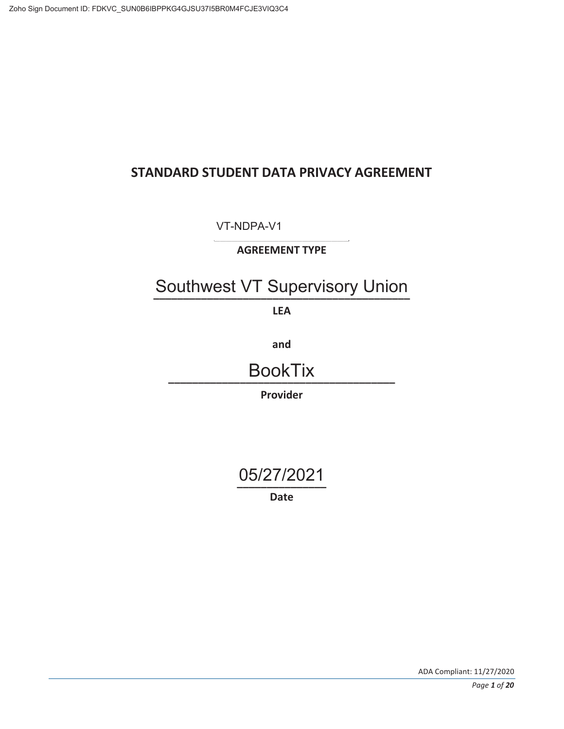# **STANDARD STUDENT DATA PRIVACY AGREEMENT**

**\_\_\_\_\_\_\_\_\_\_\_\_\_\_\_\_\_\_\_\_\_\_\_**  VT-NDPA-V1

**AGREEMENT TYPE** 

# Southwest VT Supervisory Union

**LEA** 

**and** 

**\_\_\_\_\_\_\_\_\_\_\_\_\_\_\_\_\_\_\_\_\_\_\_\_\_\_\_\_\_\_\_\_\_\_\_\_\_\_**  BookTix

**Provider** 

**\_\_\_\_\_\_\_\_\_\_\_\_\_\_\_**  05/27/2021

**Date**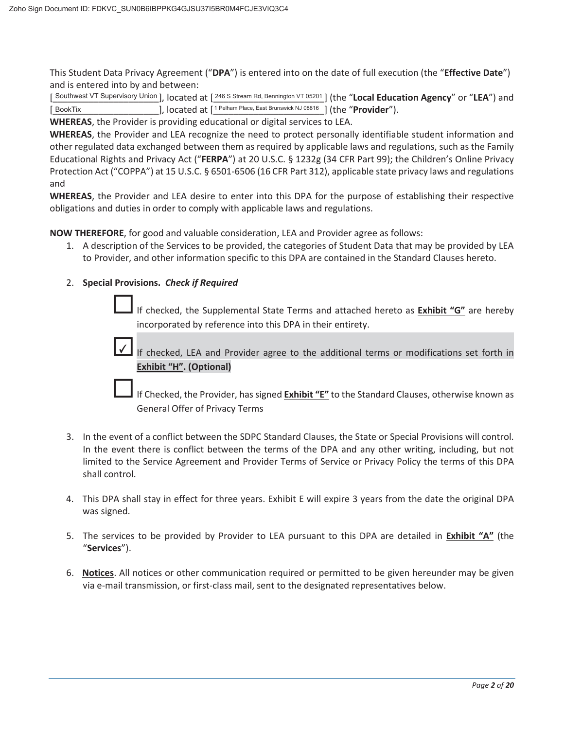This Student Data Privacy Agreement ("**DPA**") is entered into on the date of full execution (the "**Effective Date**") and is entered into by and between:

[Southwest VT Supervisory Union], located at [246 S Stream Rd, Bennington VT 05201] (the "Local Education Agency" or "LEA") and [BookTix \_\_\_\_\_\_\_\_\_\_\_\_\_\_\_\_\_\_], located at  $[1]$ <sup>Pelham Place, East Brunswick NJ 08816</sup> ] (the "**Provider**").

**WHEREAS**, the Provider is providing educational or digital services to LEA.

**WHEREAS**, the Provider and LEA recognize the need to protect personally identifiable student information and other regulated data exchanged between them as required by applicable laws and regulations, such as the Family Educational Rights and Privacy Act ("**FERPA**") at 20 U.S.C. § 1232g (34 CFR Part 99); the Children's Online Privacy Protection Act ("COPPA") at 15 U.S.C. § 6501-6506 (16 CFR Part 312), applicable state privacy laws and regulations and

**WHEREAS**, the Provider and LEA desire to enter into this DPA for the purpose of establishing their respective obligations and duties in order to comply with applicable laws and regulations.

**NOW THEREFORE**, for good and valuable consideration, LEA and Provider agree as follows:

1. A description of the Services to be provided, the categories of Student Data that may be provided by LEA to Provider, and other information specific to this DPA are contained in the Standard Clauses hereto.

#### 2. **Special Provisions.** *Check if Required*

 $\checkmark$ 

If checked, the Supplemental State Terms and attached hereto as **Exhibit "G"** are hereby incorporated by reference into this DPA in their entirety.

If checked, LEA and Provider agree to the additional terms or modifications set forth in **Exhibit "H". (Optional)** 

If Checked, the Provider, has signed **Exhibit "E"** to the Standard Clauses, otherwise known as General Offer of Privacy Terms

- 3. In the event of a conflict between the SDPC Standard Clauses, the State or Special Provisions will control. In the event there is conflict between the terms of the DPA and any other writing, including, but not limited to the Service Agreement and Provider Terms of Service or Privacy Policy the terms of this DPA shall control.
- 4. This DPA shall stay in effect for three years. Exhibit E will expire 3 years from the date the original DPA was signed.
- 5. The services to be provided by Provider to LEA pursuant to this DPA are detailed in **Exhibit "A"** (the "**Services**").
- 6. **Notices**. All notices or other communication required or permitted to be given hereunder may be given via e-mail transmission, or first-class mail, sent to the designated representatives below.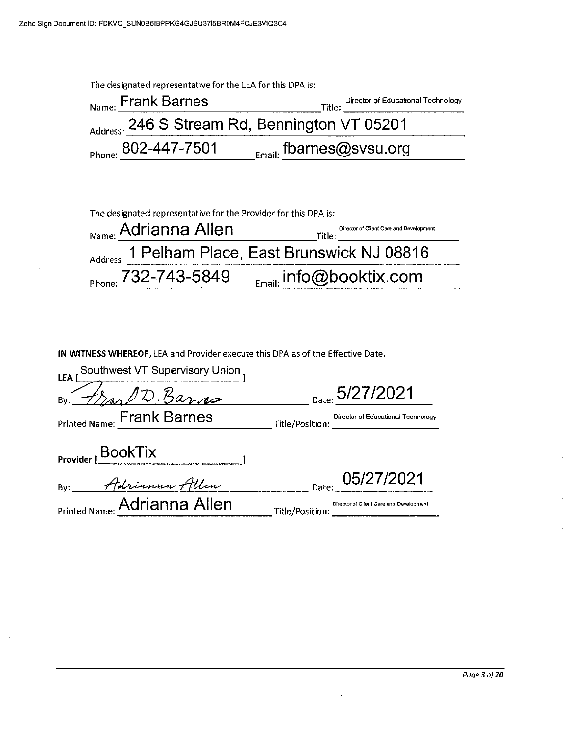$\ddot{\phantom{a}}$ 

 $\bar{z}$ 

 $\Delta$ 

| The designated representative for the LEA for this DPA is: |                                                                            |  |  |
|------------------------------------------------------------|----------------------------------------------------------------------------|--|--|
| $Nname$ Frank Barnes                                       | Director of Educational Technology<br>Title:                               |  |  |
| Address: 246 S Stream Rd, Bennington VT 05201              |                                                                            |  |  |
| Phone: 802-447-7501                                        | $_{\rm \scriptscriptstyle \rm \scriptscriptstyle Email:}$ fbarnes@svsu.org |  |  |

| The designated representative for the Provider for this DPA is: |                                                   |  |
|-----------------------------------------------------------------|---------------------------------------------------|--|
| <sub>Name:</sub> Adrianna Allen                                 | Director of Client Care and Development<br>Title: |  |
|                                                                 | Address: 1 Pelham Place, East Brunswick NJ 08816  |  |
| $P_{\text{Phone:}}$ 732-743-5849                                | $_{_{\text{Email:}}}$ info@booktix.com            |  |

IN WITNESS WHEREOF, LEA and Provider execute this DPA as of the Effective Date.

| Southwest VT Supervisory Union<br>LEA <sup>1</sup> |                                                            |
|----------------------------------------------------|------------------------------------------------------------|
| D. Barns<br>By:                                    | Date: 5/27/2021                                            |
| Printed Name: Frank Barnes                         | Director of Educational Technology<br>Title/Position:      |
| Provider $\overline{\textsf{BookTix}}$             |                                                            |
| Adrianna Allen<br>Bv:                              | Date: 05/27/2021                                           |
| Printed Name: Adrianna Allen                       | Director of Client Care and Development<br>Title/Position: |

 $\mathcal{A}^{\mathcal{A}}$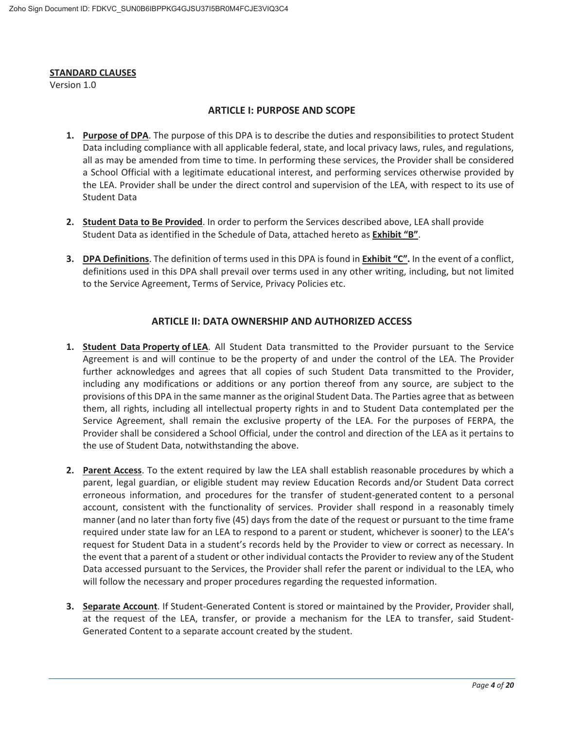#### **STANDARD CLAUSES**

Version 1.0

#### **ARTICLE I: PURPOSE AND SCOPE**

- **1. Purpose of DPA**. The purpose of this DPA is to describe the duties and responsibilities to protect Student Data including compliance with all applicable federal, state, and local privacy laws, rules, and regulations, all as may be amended from time to time. In performing these services, the Provider shall be considered a School Official with a legitimate educational interest, and performing services otherwise provided by the LEA. Provider shall be under the direct control and supervision of the LEA, with respect to its use of Student Data
- **2. Student Data to Be Provided**. In order to perform the Services described above, LEA shall provide Student Data as identified in the Schedule of Data, attached hereto as **Exhibit "B"**.
- **3. DPA Definitions**. The definition of terms used in this DPA is found in **Exhibit "C".** In the event of a conflict, definitions used in this DPA shall prevail over terms used in any other writing, including, but not limited to the Service Agreement, Terms of Service, Privacy Policies etc.

#### **ARTICLE II: DATA OWNERSHIP AND AUTHORIZED ACCESS**

- **1. Student Data Property of LEA**. All Student Data transmitted to the Provider pursuant to the Service Agreement is and will continue to be the property of and under the control of the LEA. The Provider further acknowledges and agrees that all copies of such Student Data transmitted to the Provider, including any modifications or additions or any portion thereof from any source, are subject to the provisions of this DPA in the same manner as the original Student Data. The Parties agree that as between them, all rights, including all intellectual property rights in and to Student Data contemplated per the Service Agreement, shall remain the exclusive property of the LEA. For the purposes of FERPA, the Provider shall be considered a School Official, under the control and direction of the LEA as it pertains to the use of Student Data, notwithstanding the above.
- **2. Parent Access**. To the extent required by law the LEA shall establish reasonable procedures by which a parent, legal guardian, or eligible student may review Education Records and/or Student Data correct erroneous information, and procedures for the transfer of student-generated content to a personal account, consistent with the functionality of services. Provider shall respond in a reasonably timely manner (and no later than forty five (45) days from the date of the request or pursuant to the time frame required under state law for an LEA to respond to a parent or student, whichever is sooner) to the LEA's request for Student Data in a student's records held by the Provider to view or correct as necessary. In the event that a parent of a student or other individual contacts the Provider to review any of the Student Data accessed pursuant to the Services, the Provider shall refer the parent or individual to the LEA, who will follow the necessary and proper procedures regarding the requested information.
- **3. Separate Account**. If Student-Generated Content is stored or maintained by the Provider, Provider shall, at the request of the LEA, transfer, or provide a mechanism for the LEA to transfer, said Student-Generated Content to a separate account created by the student.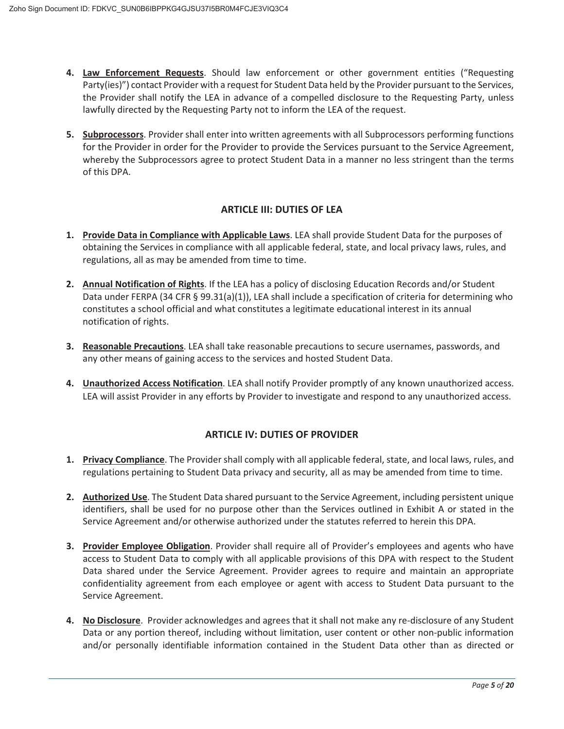- **4. Law Enforcement Requests**. Should law enforcement or other government entities ("Requesting Party(ies)") contact Provider with a request for Student Data held by the Provider pursuant to the Services, the Provider shall notify the LEA in advance of a compelled disclosure to the Requesting Party, unless lawfully directed by the Requesting Party not to inform the LEA of the request.
- **5. Subprocessors**. Provider shall enter into written agreements with all Subprocessors performing functions for the Provider in order for the Provider to provide the Services pursuant to the Service Agreement, whereby the Subprocessors agree to protect Student Data in a manner no less stringent than the terms of this DPA.

#### **ARTICLE III: DUTIES OF LEA**

- **1. Provide Data in Compliance with Applicable Laws**. LEA shall provide Student Data for the purposes of obtaining the Services in compliance with all applicable federal, state, and local privacy laws, rules, and regulations, all as may be amended from time to time.
- **2. Annual Notification of Rights**. If the LEA has a policy of disclosing Education Records and/or Student Data under FERPA (34 CFR § 99.31(a)(1)), LEA shall include a specification of criteria for determining who constitutes a school official and what constitutes a legitimate educational interest in its annual notification of rights.
- **3. Reasonable Precautions**. LEA shall take reasonable precautions to secure usernames, passwords, and any other means of gaining access to the services and hosted Student Data.
- **4. Unauthorized Access Notification**. LEA shall notify Provider promptly of any known unauthorized access. LEA will assist Provider in any efforts by Provider to investigate and respond to any unauthorized access.

#### **ARTICLE IV: DUTIES OF PROVIDER**

- **1. Privacy Compliance**. The Provider shall comply with all applicable federal, state, and local laws, rules, and regulations pertaining to Student Data privacy and security, all as may be amended from time to time.
- **2. Authorized Use**. The Student Data shared pursuant to the Service Agreement, including persistent unique identifiers, shall be used for no purpose other than the Services outlined in Exhibit A or stated in the Service Agreement and/or otherwise authorized under the statutes referred to herein this DPA.
- **3. Provider Employee Obligation**. Provider shall require all of Provider's employees and agents who have access to Student Data to comply with all applicable provisions of this DPA with respect to the Student Data shared under the Service Agreement. Provider agrees to require and maintain an appropriate confidentiality agreement from each employee or agent with access to Student Data pursuant to the Service Agreement.
- **4. No Disclosure**. Provider acknowledges and agrees that it shall not make any re-disclosure of any Student Data or any portion thereof, including without limitation, user content or other non-public information and/or personally identifiable information contained in the Student Data other than as directed or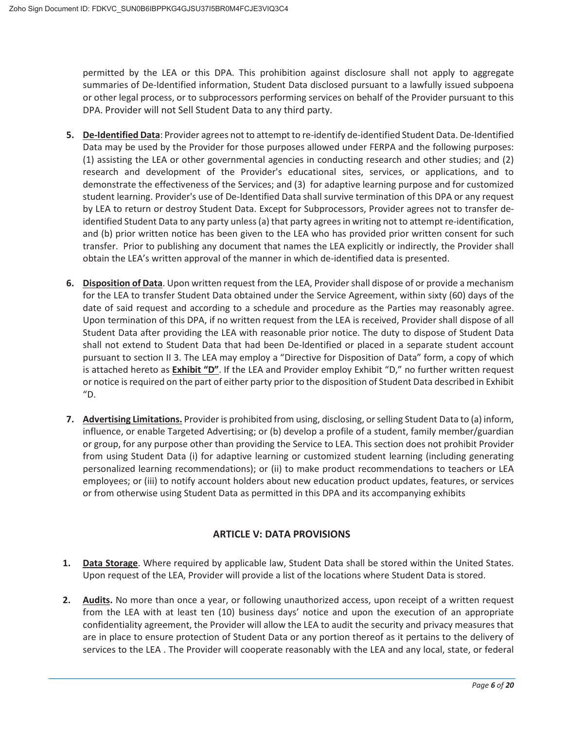permitted by the LEA or this DPA. This prohibition against disclosure shall not apply to aggregate summaries of De-Identified information, Student Data disclosed pursuant to a lawfully issued subpoena or other legal process, or to subprocessors performing services on behalf of the Provider pursuant to this DPA. Provider will not Sell Student Data to any third party.

- **5. De-Identified Data**: Provider agrees not to attempt to re-identify de-identified Student Data. De-Identified Data may be used by the Provider for those purposes allowed under FERPA and the following purposes: (1) assisting the LEA or other governmental agencies in conducting research and other studies; and (2) research and development of the Provider's educational sites, services, or applications, and to demonstrate the effectiveness of the Services; and (3) for adaptive learning purpose and for customized student learning. Provider's use of De-Identified Data shall survive termination of this DPA or any request by LEA to return or destroy Student Data. Except for Subprocessors, Provider agrees not to transfer deidentified Student Data to any party unless (a) that party agrees in writing not to attempt re-identification, and (b) prior written notice has been given to the LEA who has provided prior written consent for such transfer. Prior to publishing any document that names the LEA explicitly or indirectly, the Provider shall obtain the LEA's written approval of the manner in which de-identified data is presented.
- **6. Disposition of Data**. Upon written request from the LEA, Provider shall dispose of or provide a mechanism for the LEA to transfer Student Data obtained under the Service Agreement, within sixty (60) days of the date of said request and according to a schedule and procedure as the Parties may reasonably agree. Upon termination of this DPA, if no written request from the LEA is received, Provider shall dispose of all Student Data after providing the LEA with reasonable prior notice. The duty to dispose of Student Data shall not extend to Student Data that had been De-Identified or placed in a separate student account pursuant to section II 3. The LEA may employ a "Directive for Disposition of Data" form, a copy of which is attached hereto as **Exhibit "D"**. If the LEA and Provider employ Exhibit "D," no further written request or notice is required on the part of either party prior to the disposition of Student Data described in Exhibit "D.
- **7. Advertising Limitations.** Provider is prohibited from using, disclosing, or selling Student Data to (a) inform, influence, or enable Targeted Advertising; or (b) develop a profile of a student, family member/guardian or group, for any purpose other than providing the Service to LEA. This section does not prohibit Provider from using Student Data (i) for adaptive learning or customized student learning (including generating personalized learning recommendations); or (ii) to make product recommendations to teachers or LEA employees; or (iii) to notify account holders about new education product updates, features, or services or from otherwise using Student Data as permitted in this DPA and its accompanying exhibits

## **ARTICLE V: DATA PROVISIONS**

- **1. Data Storage**. Where required by applicable law, Student Data shall be stored within the United States. Upon request of the LEA, Provider will provide a list of the locations where Student Data is stored.
- **2. Audits.** No more than once a year, or following unauthorized access, upon receipt of a written request from the LEA with at least ten (10) business days' notice and upon the execution of an appropriate confidentiality agreement, the Provider will allow the LEA to audit the security and privacy measures that are in place to ensure protection of Student Data or any portion thereof as it pertains to the delivery of services to the LEA . The Provider will cooperate reasonably with the LEA and any local, state, or federal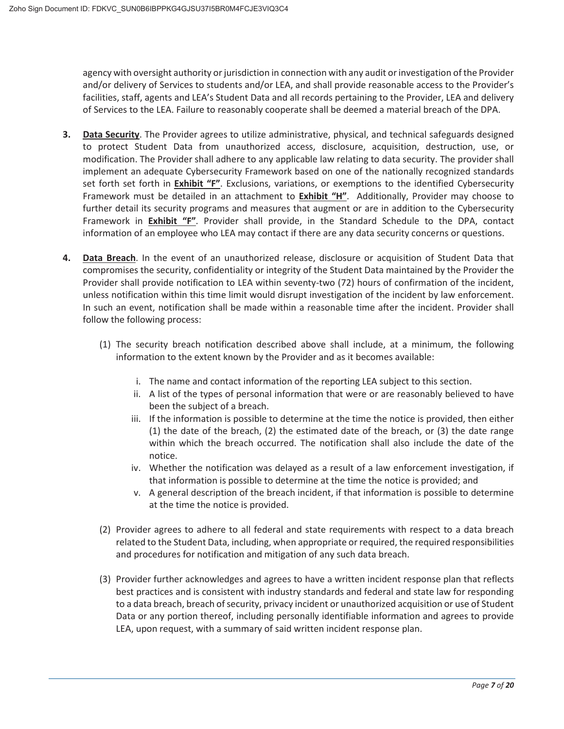agency with oversight authority or jurisdiction in connection with any audit or investigation of the Provider and/or delivery of Services to students and/or LEA, and shall provide reasonable access to the Provider's facilities, staff, agents and LEA's Student Data and all records pertaining to the Provider, LEA and delivery of Services to the LEA. Failure to reasonably cooperate shall be deemed a material breach of the DPA.

- **3. Data Security**. The Provider agrees to utilize administrative, physical, and technical safeguards designed to protect Student Data from unauthorized access, disclosure, acquisition, destruction, use, or modification. The Provider shall adhere to any applicable law relating to data security. The provider shall implement an adequate Cybersecurity Framework based on one of the nationally recognized standards set forth set forth in **Exhibit "F"**. Exclusions, variations, or exemptions to the identified Cybersecurity Framework must be detailed in an attachment to **Exhibit "H"**. Additionally, Provider may choose to further detail its security programs and measures that augment or are in addition to the Cybersecurity Framework in **Exhibit "F"**. Provider shall provide, in the Standard Schedule to the DPA, contact information of an employee who LEA may contact if there are any data security concerns or questions.
- **4. Data Breach**. In the event of an unauthorized release, disclosure or acquisition of Student Data that compromises the security, confidentiality or integrity of the Student Data maintained by the Provider the Provider shall provide notification to LEA within seventy-two (72) hours of confirmation of the incident, unless notification within this time limit would disrupt investigation of the incident by law enforcement. In such an event, notification shall be made within a reasonable time after the incident. Provider shall follow the following process:
	- (1) The security breach notification described above shall include, at a minimum, the following information to the extent known by the Provider and as it becomes available:
		- i. The name and contact information of the reporting LEA subject to this section.
		- ii. A list of the types of personal information that were or are reasonably believed to have been the subject of a breach.
		- iii. If the information is possible to determine at the time the notice is provided, then either (1) the date of the breach, (2) the estimated date of the breach, or (3) the date range within which the breach occurred. The notification shall also include the date of the notice.
		- iv. Whether the notification was delayed as a result of a law enforcement investigation, if that information is possible to determine at the time the notice is provided; and
		- v. A general description of the breach incident, if that information is possible to determine at the time the notice is provided.
	- (2) Provider agrees to adhere to all federal and state requirements with respect to a data breach related to the Student Data, including, when appropriate or required, the required responsibilities and procedures for notification and mitigation of any such data breach.
	- (3) Provider further acknowledges and agrees to have a written incident response plan that reflects best practices and is consistent with industry standards and federal and state law for responding to a data breach, breach of security, privacy incident or unauthorized acquisition or use of Student Data or any portion thereof, including personally identifiable information and agrees to provide LEA, upon request, with a summary of said written incident response plan.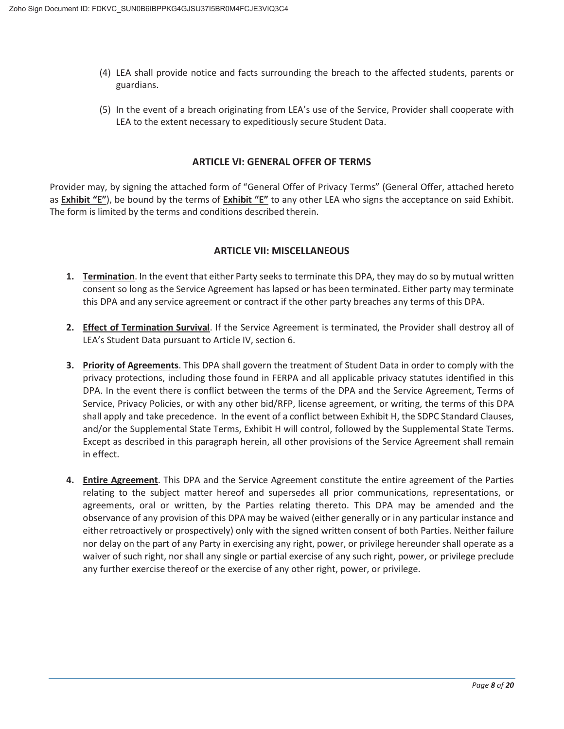- (4) LEA shall provide notice and facts surrounding the breach to the affected students, parents or guardians.
- (5) In the event of a breach originating from LEA's use of the Service, Provider shall cooperate with LEA to the extent necessary to expeditiously secure Student Data.

#### **ARTICLE VI: GENERAL OFFER OF TERMS**

Provider may, by signing the attached form of "General Offer of Privacy Terms" (General Offer, attached hereto as **Exhibit "E"**), be bound by the terms of **Exhibit "E"** to any other LEA who signs the acceptance on said Exhibit. The form is limited by the terms and conditions described therein.

#### **ARTICLE VII: MISCELLANEOUS**

- **1. Termination**. In the event that either Party seeks to terminate this DPA, they may do so by mutual written consent so long as the Service Agreement has lapsed or has been terminated. Either party may terminate this DPA and any service agreement or contract if the other party breaches any terms of this DPA.
- **2. Effect of Termination Survival**. If the Service Agreement is terminated, the Provider shall destroy all of LEA's Student Data pursuant to Article IV, section 6.
- **3. Priority of Agreements**. This DPA shall govern the treatment of Student Data in order to comply with the privacy protections, including those found in FERPA and all applicable privacy statutes identified in this DPA. In the event there is conflict between the terms of the DPA and the Service Agreement, Terms of Service, Privacy Policies, or with any other bid/RFP, license agreement, or writing, the terms of this DPA shall apply and take precedence. In the event of a conflict between Exhibit H, the SDPC Standard Clauses, and/or the Supplemental State Terms, Exhibit H will control, followed by the Supplemental State Terms. Except as described in this paragraph herein, all other provisions of the Service Agreement shall remain in effect.
- **4. Entire Agreement**. This DPA and the Service Agreement constitute the entire agreement of the Parties relating to the subject matter hereof and supersedes all prior communications, representations, or agreements, oral or written, by the Parties relating thereto. This DPA may be amended and the observance of any provision of this DPA may be waived (either generally or in any particular instance and either retroactively or prospectively) only with the signed written consent of both Parties. Neither failure nor delay on the part of any Party in exercising any right, power, or privilege hereunder shall operate as a waiver of such right, nor shall any single or partial exercise of any such right, power, or privilege preclude any further exercise thereof or the exercise of any other right, power, or privilege.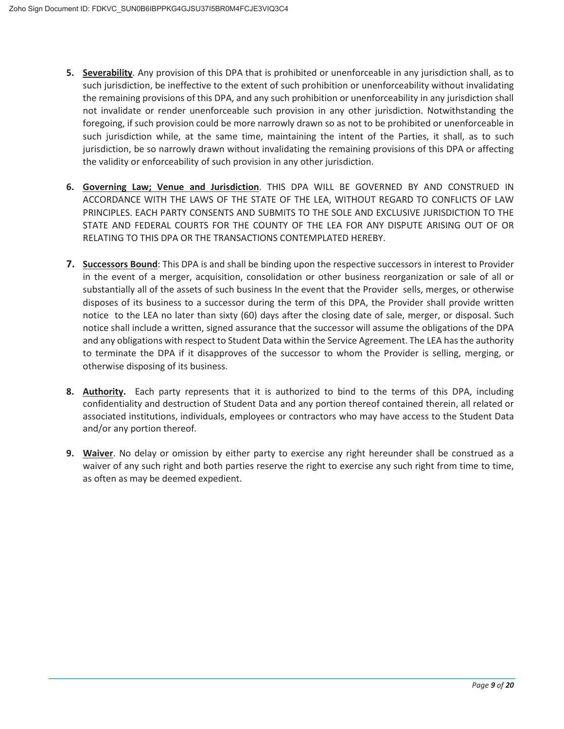- **5. Severability**. Any provision of this DPA that is prohibited or unenforceable in any jurisdiction shall, as to such jurisdiction, be ineffective to the extent of such prohibition or unenforceability without invalidating the remaining provisions of this DPA, and any such prohibition or unenforceability in any jurisdiction shall not invalidate or render unenforceable such provision in any other jurisdiction. Notwithstanding the foregoing, if such provision could be more narrowly drawn so as not to be prohibited or unenforceable in such jurisdiction while, at the same time, maintaining the intent of the Parties, it shall, as to such jurisdiction, be so narrowly drawn without invalidating the remaining provisions of this DPA or affecting the validity or enforceability of such provision in any other jurisdiction.
- **6. Governing Law; Venue and Jurisdiction**. THIS DPA WILL BE GOVERNED BY AND CONSTRUED IN ACCORDANCE WITH THE LAWS OF THE STATE OF THE LEA, WITHOUT REGARD TO CONFLICTS OF LAW PRINCIPLES. EACH PARTY CONSENTS AND SUBMITS TO THE SOLE AND EXCLUSIVE JURISDICTION TO THE STATE AND FEDERAL COURTS FOR THE COUNTY OF THE LEA FOR ANY DISPUTE ARISING OUT OF OR RELATING TO THIS DPA OR THE TRANSACTIONS CONTEMPLATED HEREBY.
- **7. Successors Bound**: This DPA is and shall be binding upon the respective successors in interest to Provider in the event of a merger, acquisition, consolidation or other business reorganization or sale of all or substantially all of the assets of such business In the event that the Provider sells, merges, or otherwise disposes of its business to a successor during the term of this DPA, the Provider shall provide written notice to the LEA no later than sixty (60) days after the closing date of sale, merger, or disposal. Such notice shall include a written, signed assurance that the successor will assume the obligations of the DPA and any obligations with respect to Student Data within the Service Agreement. The LEA has the authority to terminate the DPA if it disapproves of the successor to whom the Provider is selling, merging, or otherwise disposing of its business.
- **8. Authority.** Each party represents that it is authorized to bind to the terms of this DPA, including confidentiality and destruction of Student Data and any portion thereof contained therein, all related or associated institutions, individuals, employees or contractors who may have access to the Student Data and/or any portion thereof.
- **9. Waiver**. No delay or omission by either party to exercise any right hereunder shall be construed as a waiver of any such right and both parties reserve the right to exercise any such right from time to time, as often as may be deemed expedient.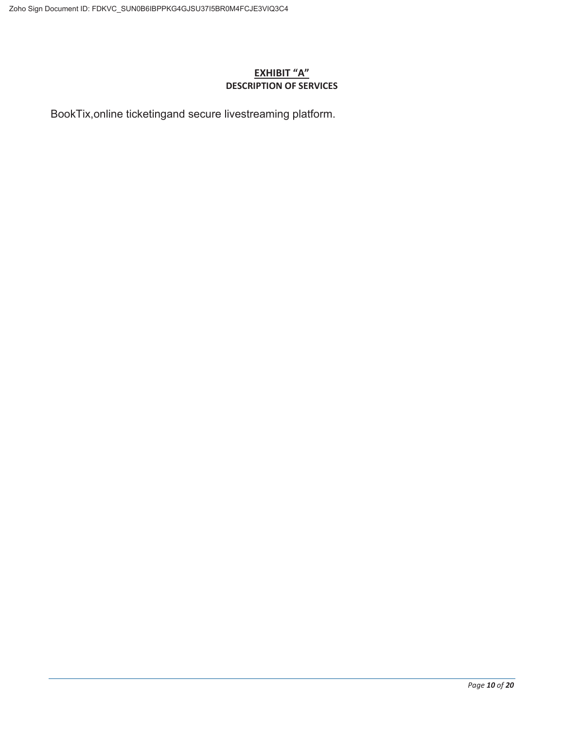#### **EXHIBIT "A" DESCRIPTION OF SERVICES**

BookTix,online ticketingand secure livestreaming platform.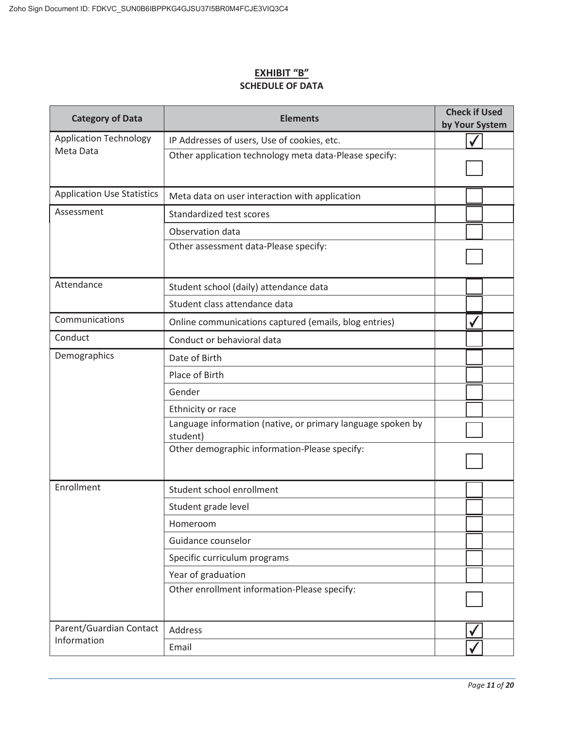#### **EXHIBIT "B" SCHEDULE OF DATA**

| <b>Category of Data</b>           | <b>Elements</b>                                                         | <b>Check if Used</b><br>by Your System |  |
|-----------------------------------|-------------------------------------------------------------------------|----------------------------------------|--|
| <b>Application Technology</b>     | IP Addresses of users, Use of cookies, etc.                             |                                        |  |
| Meta Data                         | Other application technology meta data-Please specify:                  |                                        |  |
| <b>Application Use Statistics</b> | Meta data on user interaction with application                          |                                        |  |
| Assessment                        | Standardized test scores                                                |                                        |  |
|                                   | Observation data                                                        |                                        |  |
|                                   | Other assessment data-Please specify:                                   |                                        |  |
| Attendance                        | Student school (daily) attendance data                                  |                                        |  |
|                                   | Student class attendance data                                           |                                        |  |
| Communications                    | Online communications captured (emails, blog entries)                   |                                        |  |
| Conduct                           | Conduct or behavioral data                                              |                                        |  |
| Demographics                      | Date of Birth                                                           |                                        |  |
|                                   | Place of Birth                                                          |                                        |  |
|                                   | Gender                                                                  |                                        |  |
|                                   | Ethnicity or race                                                       |                                        |  |
|                                   | Language information (native, or primary language spoken by<br>student) |                                        |  |
|                                   | Other demographic information-Please specify:                           |                                        |  |
| Enrollment                        | Student school enrollment                                               |                                        |  |
|                                   | Student grade level                                                     |                                        |  |
|                                   | Homeroom                                                                |                                        |  |
|                                   | Guidance counselor                                                      |                                        |  |
|                                   | Specific curriculum programs                                            |                                        |  |
|                                   | Year of graduation                                                      |                                        |  |
|                                   | Other enrollment information-Please specify:                            |                                        |  |
| Parent/Guardian Contact           | Address                                                                 |                                        |  |
| Information                       | Email                                                                   |                                        |  |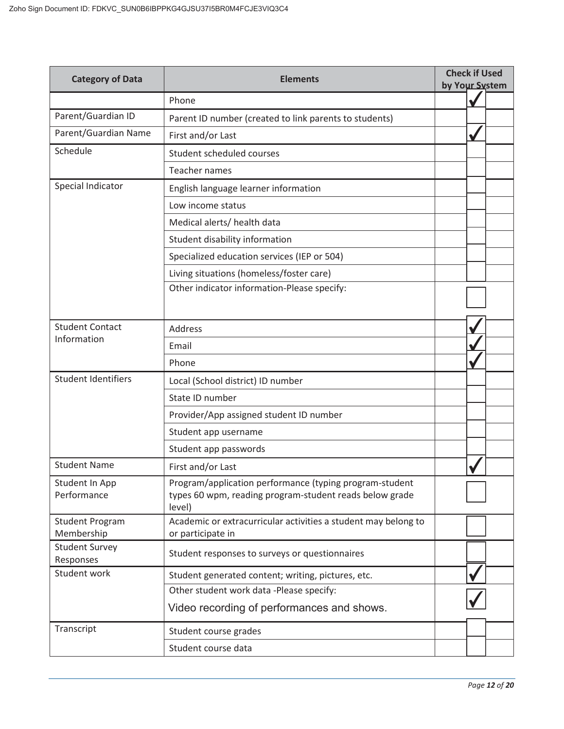| <b>Category of Data</b>              | <b>Check if Used</b><br><b>Elements</b><br>by Your System                                                                    |  |
|--------------------------------------|------------------------------------------------------------------------------------------------------------------------------|--|
|                                      | Phone                                                                                                                        |  |
| Parent/Guardian ID                   | Parent ID number (created to link parents to students)                                                                       |  |
| Parent/Guardian Name                 | First and/or Last                                                                                                            |  |
| Schedule                             | Student scheduled courses                                                                                                    |  |
|                                      | <b>Teacher names</b>                                                                                                         |  |
| Special Indicator                    | English language learner information                                                                                         |  |
|                                      | Low income status                                                                                                            |  |
|                                      | Medical alerts/ health data                                                                                                  |  |
|                                      | Student disability information                                                                                               |  |
|                                      | Specialized education services (IEP or 504)                                                                                  |  |
|                                      | Living situations (homeless/foster care)                                                                                     |  |
|                                      | Other indicator information-Please specify:                                                                                  |  |
|                                      |                                                                                                                              |  |
| <b>Student Contact</b>               | Address                                                                                                                      |  |
| Information                          | Email                                                                                                                        |  |
|                                      | Phone                                                                                                                        |  |
| <b>Student Identifiers</b>           | Local (School district) ID number                                                                                            |  |
|                                      | State ID number                                                                                                              |  |
|                                      | Provider/App assigned student ID number                                                                                      |  |
|                                      | Student app username                                                                                                         |  |
|                                      | Student app passwords                                                                                                        |  |
| <b>Student Name</b>                  | First and/or Last                                                                                                            |  |
| Student In App<br>Performance        | Program/application performance (typing program-student<br>types 60 wpm, reading program-student reads below grade<br>level) |  |
| <b>Student Program</b><br>Membership | Academic or extracurricular activities a student may belong to<br>or participate in                                          |  |
| <b>Student Survey</b><br>Responses   | Student responses to surveys or questionnaires                                                                               |  |
| Student work                         | Student generated content; writing, pictures, etc.                                                                           |  |
|                                      | Other student work data -Please specify:                                                                                     |  |
|                                      | Video recording of performances and shows.                                                                                   |  |
| Transcript                           | Student course grades                                                                                                        |  |
|                                      | Student course data                                                                                                          |  |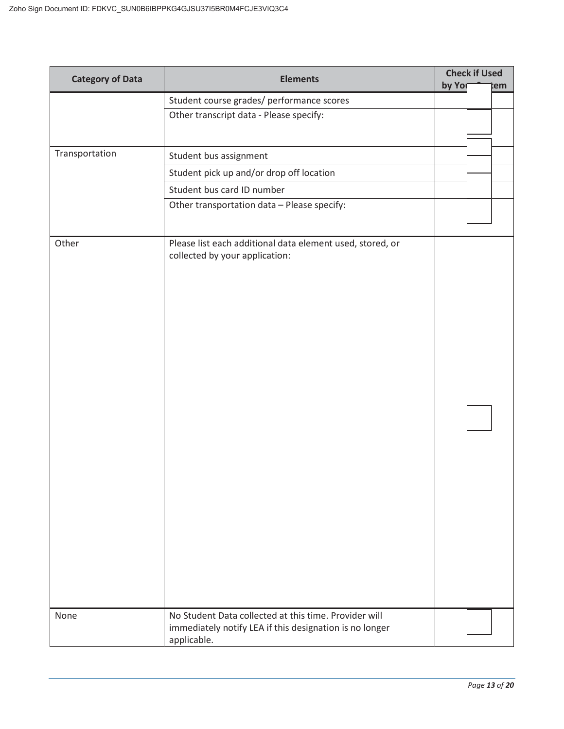| <b>Category of Data</b> | <b>Elements</b>                                                                                                                 |        | <b>Check if Used</b> |     |
|-------------------------|---------------------------------------------------------------------------------------------------------------------------------|--------|----------------------|-----|
|                         | Student course grades/ performance scores                                                                                       | by Yor |                      | :em |
|                         | Other transcript data - Please specify:                                                                                         |        |                      |     |
|                         |                                                                                                                                 |        |                      |     |
| Transportation          | Student bus assignment                                                                                                          |        |                      |     |
|                         | Student pick up and/or drop off location                                                                                        |        |                      |     |
|                         | Student bus card ID number                                                                                                      |        |                      |     |
|                         | Other transportation data - Please specify:                                                                                     |        |                      |     |
| Other                   | Please list each additional data element used, stored, or<br>collected by your application:                                     |        |                      |     |
| None                    | No Student Data collected at this time. Provider will<br>immediately notify LEA if this designation is no longer<br>applicable. |        |                      |     |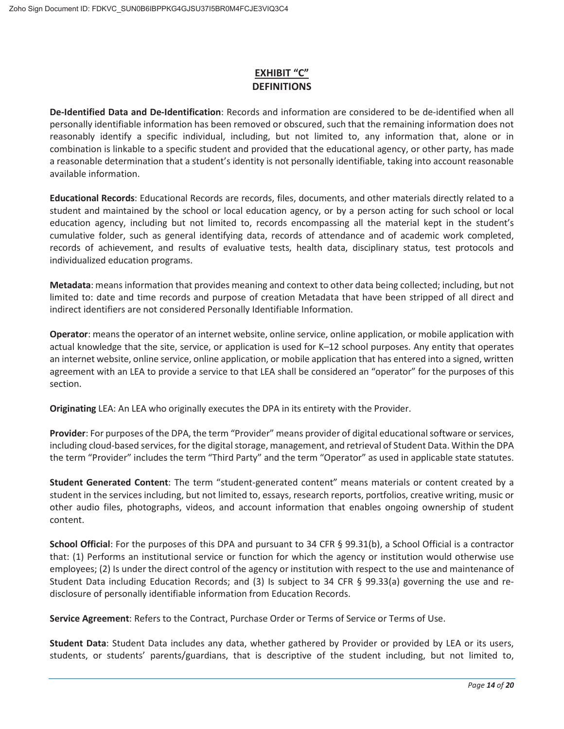# **EXHIBIT "C" DEFINITIONS**

**De-Identified Data and De-Identification**: Records and information are considered to be de-identified when all personally identifiable information has been removed or obscured, such that the remaining information does not reasonably identify a specific individual, including, but not limited to, any information that, alone or in combination is linkable to a specific student and provided that the educational agency, or other party, has made a reasonable determination that a student's identity is not personally identifiable, taking into account reasonable available information.

**Educational Records**: Educational Records are records, files, documents, and other materials directly related to a student and maintained by the school or local education agency, or by a person acting for such school or local education agency, including but not limited to, records encompassing all the material kept in the student's cumulative folder, such as general identifying data, records of attendance and of academic work completed, records of achievement, and results of evaluative tests, health data, disciplinary status, test protocols and individualized education programs.

**Metadata**: means information that provides meaning and context to other data being collected; including, but not limited to: date and time records and purpose of creation Metadata that have been stripped of all direct and indirect identifiers are not considered Personally Identifiable Information.

**Operator**: means the operator of an internet website, online service, online application, or mobile application with actual knowledge that the site, service, or application is used for K–12 school purposes. Any entity that operates an internet website, online service, online application, or mobile application that has entered into a signed, written agreement with an LEA to provide a service to that LEA shall be considered an "operator" for the purposes of this section.

**Originating** LEA: An LEA who originally executes the DPA in its entirety with the Provider.

**Provider**: For purposes of the DPA, the term "Provider" means provider of digital educational software or services, including cloud-based services, for the digital storage, management, and retrieval of Student Data. Within the DPA the term "Provider" includes the term "Third Party" and the term "Operator" as used in applicable state statutes.

**Student Generated Content**: The term "student-generated content" means materials or content created by a student in the services including, but not limited to, essays, research reports, portfolios, creative writing, music or other audio files, photographs, videos, and account information that enables ongoing ownership of student content.

**School Official**: For the purposes of this DPA and pursuant to 34 CFR § 99.31(b), a School Official is a contractor that: (1) Performs an institutional service or function for which the agency or institution would otherwise use employees; (2) Is under the direct control of the agency or institution with respect to the use and maintenance of Student Data including Education Records; and (3) Is subject to 34 CFR § 99.33(a) governing the use and redisclosure of personally identifiable information from Education Records.

**Service Agreement**: Refers to the Contract, Purchase Order or Terms of Service or Terms of Use.

**Student Data**: Student Data includes any data, whether gathered by Provider or provided by LEA or its users, students, or students' parents/guardians, that is descriptive of the student including, but not limited to,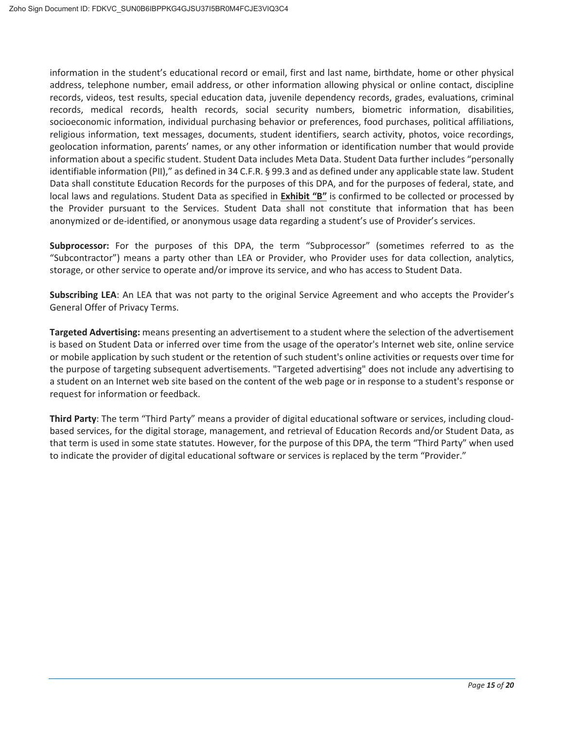information in the student's educational record or email, first and last name, birthdate, home or other physical address, telephone number, email address, or other information allowing physical or online contact, discipline records, videos, test results, special education data, juvenile dependency records, grades, evaluations, criminal records, medical records, health records, social security numbers, biometric information, disabilities, socioeconomic information, individual purchasing behavior or preferences, food purchases, political affiliations, religious information, text messages, documents, student identifiers, search activity, photos, voice recordings, geolocation information, parents' names, or any other information or identification number that would provide information about a specific student. Student Data includes Meta Data. Student Data further includes "personally identifiable information (PII)," as defined in 34 C.F.R. § 99.3 and as defined under any applicable state law. Student Data shall constitute Education Records for the purposes of this DPA, and for the purposes of federal, state, and local laws and regulations. Student Data as specified in **Exhibit "B"** is confirmed to be collected or processed by the Provider pursuant to the Services. Student Data shall not constitute that information that has been anonymized or de-identified, or anonymous usage data regarding a student's use of Provider's services.

**Subprocessor:** For the purposes of this DPA, the term "Subprocessor" (sometimes referred to as the "Subcontractor") means a party other than LEA or Provider, who Provider uses for data collection, analytics, storage, or other service to operate and/or improve its service, and who has access to Student Data.

**Subscribing LEA**: An LEA that was not party to the original Service Agreement and who accepts the Provider's General Offer of Privacy Terms.

**Targeted Advertising:** means presenting an advertisement to a student where the selection of the advertisement is based on Student Data or inferred over time from the usage of the operator's Internet web site, online service or mobile application by such student or the retention of such student's online activities or requests over time for the purpose of targeting subsequent advertisements. "Targeted advertising" does not include any advertising to a student on an Internet web site based on the content of the web page or in response to a student's response or request for information or feedback.

**Third Party**: The term "Third Party" means a provider of digital educational software or services, including cloudbased services, for the digital storage, management, and retrieval of Education Records and/or Student Data, as that term is used in some state statutes. However, for the purpose of this DPA, the term "Third Party" when used to indicate the provider of digital educational software or services is replaced by the term "Provider."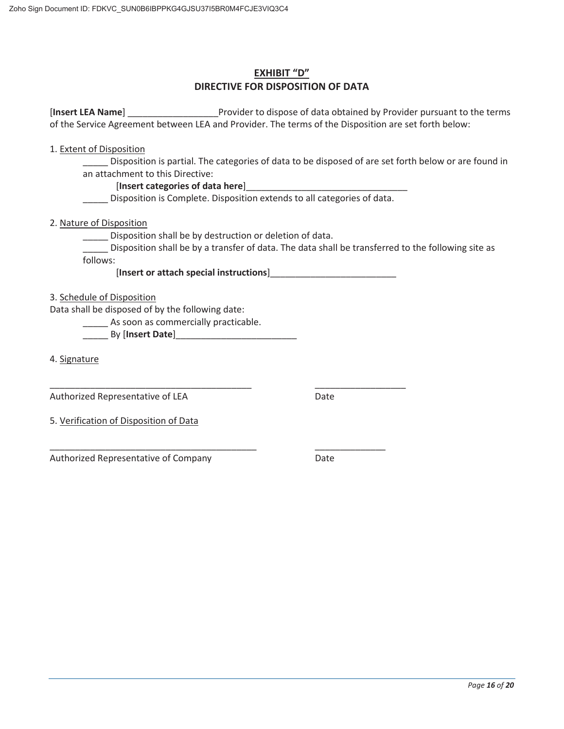# **EXHIBIT "D" DIRECTIVE FOR DISPOSITION OF DATA**

[**Insert LEA Name**] \_\_\_\_\_\_\_\_\_\_\_\_\_\_\_\_\_\_Provider to dispose of data obtained by Provider pursuant to the terms of the Service Agreement between LEA and Provider. The terms of the Disposition are set forth below:

1. Extent of Disposition

Disposition is partial. The categories of data to be disposed of are set forth below or are found in an attachment to this Directive:

#### [Insert categories of data here]

Disposition is Complete. Disposition extends to all categories of data.

2. Nature of Disposition

\_\_\_\_\_ Disposition shall be by destruction or deletion of data.

\_\_\_\_\_ Disposition shall be by a transfer of data. The data shall be transferred to the following site as follows:

[**Insert or attach special instructions**]\_\_\_\_\_\_\_\_\_\_\_\_\_\_\_\_\_\_\_\_\_\_\_\_\_

3. Schedule of Disposition

Data shall be disposed of by the following date:

**\_\_\_\_\_** As soon as commercially practicable.

\_\_\_\_\_ By [**Insert Date**]\_\_\_\_\_\_\_\_\_\_\_\_\_\_\_\_\_\_\_\_\_\_\_\_

\_\_\_\_\_\_\_\_\_\_\_\_\_\_\_\_\_\_\_\_\_\_\_\_\_\_\_\_\_\_\_\_\_\_\_\_\_\_\_\_

\_\_\_\_\_\_\_\_\_\_\_\_\_\_\_\_\_\_\_\_\_\_\_\_\_\_\_\_\_\_\_\_\_\_\_\_\_\_\_\_\_

4. Signature

Authorized Representative of LEA

Date

\_\_\_\_\_\_\_\_\_\_\_\_\_\_\_\_\_\_

\_\_\_\_\_\_\_\_\_\_\_\_\_\_

5. Verification of Disposition of Data

Authorized Representative of Company

Date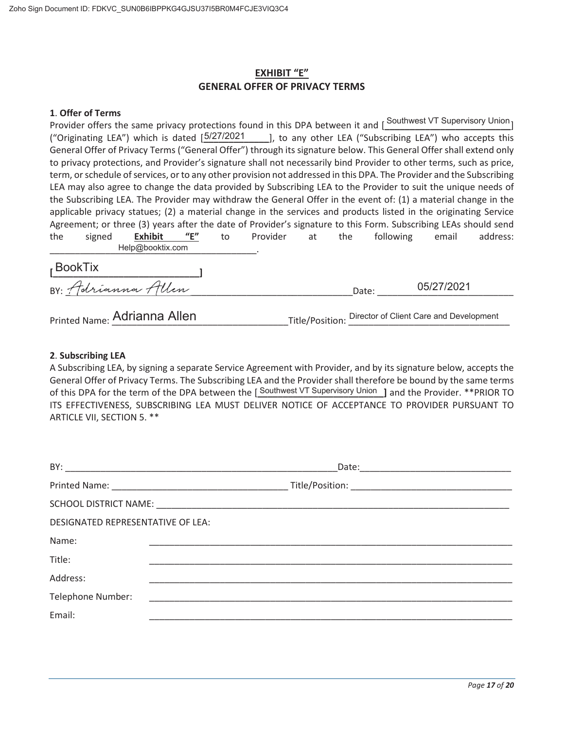# **EXHIBIT "E" GENERAL OFFER OF PRIVACY TERMS**

#### **1**. **Offer of Terms**

Provider offers the same privacy protections found in this DPA between it and [Southwest VT Supervisory Union] ("Originating LEA") which is dated [5/27/2021 \_\_\_\_\_], to any other LEA ("Subscribing LEA") who accepts this General Offer of Privacy Terms ("General Offer") through its signature below. This General Offer shall extend only to privacy protections, and Provider's signature shall not necessarily bind Provider to other terms, such as price, term, or schedule of services, or to any other provision not addressed in this DPA. The Provider and the Subscribing LEA may also agree to change the data provided by Subscribing LEA to the Provider to suit the unique needs of the Subscribing LEA. The Provider may withdraw the General Offer in the event of: (1) a material change in the applicable privacy statues; (2) a material change in the services and products listed in the originating Service Agreement; or three (3) years after the date of Provider's signature to this Form. Subscribing LEAs should send the signed **Exhibit "E"** to Provider at the following email address: \_\_\_\_\_\_\_\_\_\_\_\_\_\_\_\_\_\_\_\_\_\_\_\_\_\_\_\_\_\_\_\_\_\_\_\_\_\_\_\_\_. Help@booktix.com **[\_\_\_\_\_\_\_\_\_\_\_\_\_\_\_\_\_\_\_\_\_\_\_\_\_\_\_\_\_]**  BY: <u>1</u> driamma 1 Ucn Printed Name: **Adrianna Allen** [1994] Title/Position: Director of Client Care and Development BookTix 05/27/2021

#### **2**. **Subscribing LEA**

A Subscribing LEA, by signing a separate Service Agreement with Provider, and by its signature below, accepts the General Offer of Privacy Terms. The Subscribing LEA and the Provider shall therefore be bound by the same terms of this DPA for the term of the DPA between the [Southwest VT Supervisory Union ] and the Provider. \*\*PRIOR TO ITS EFFECTIVENESS, SUBSCRIBING LEA MUST DELIVER NOTICE OF ACCEPTANCE TO PROVIDER PURSUANT TO ARTICLE VII, SECTION 5. \*\*

| <b>DESIGNATED REPRESENTATIVE OF LEA:</b> |  |  |  |
|------------------------------------------|--|--|--|
| Name:                                    |  |  |  |
| Title:                                   |  |  |  |
| Address:                                 |  |  |  |
| Telephone Number:                        |  |  |  |
| Email:                                   |  |  |  |
|                                          |  |  |  |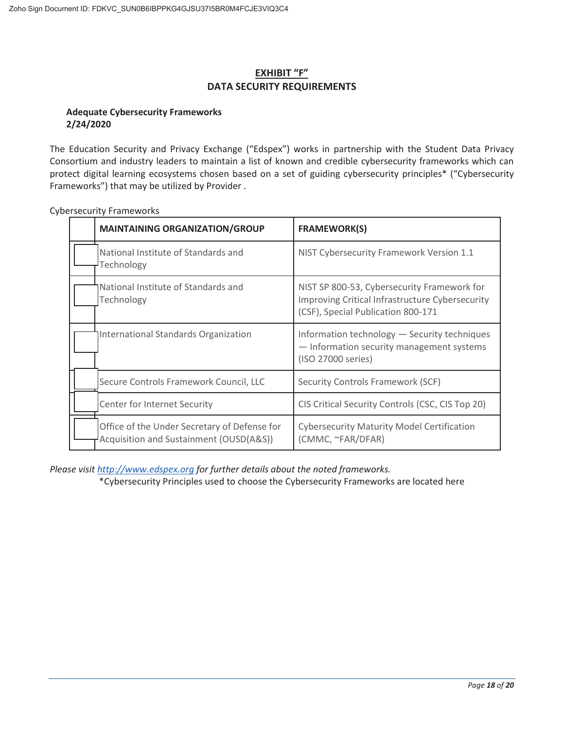# **EXHIBIT "F" DATA SECURITY REQUIREMENTS**

#### **Adequate Cybersecurity Frameworks 2/24/2020**

The Education Security and Privacy Exchange ("Edspex") works in partnership with the Student Data Privacy Consortium and industry leaders to maintain a list of known and credible cybersecurity frameworks which can protect digital learning ecosystems chosen based on a set of guiding cybersecurity principles\* ("Cybersecurity Frameworks") that may be utilized by Provider .

| <b>MAINTAINING ORGANIZATION/GROUP</b>                                                   | <b>FRAMEWORK(S)</b>                                                                                                                  |
|-----------------------------------------------------------------------------------------|--------------------------------------------------------------------------------------------------------------------------------------|
| National Institute of Standards and<br>Technology                                       | NIST Cybersecurity Framework Version 1.1                                                                                             |
| National Institute of Standards and<br>Technology                                       | NIST SP 800-53, Cybersecurity Framework for<br>Improving Critical Infrastructure Cybersecurity<br>(CSF), Special Publication 800-171 |
| International Standards Organization                                                    | Information technology - Security techniques<br>- Information security management systems<br>(ISO 27000 series)                      |
| Secure Controls Framework Council, LLC                                                  | Security Controls Framework (SCF)                                                                                                    |
| Center for Internet Security                                                            | CIS Critical Security Controls (CSC, CIS Top 20)                                                                                     |
| Office of the Under Secretary of Defense for<br>Acquisition and Sustainment (OUSD(A&S)) | <b>Cybersecurity Maturity Model Certification</b><br>(CMMC, ~FAR/DFAR)                                                               |

Cybersecurity Frameworks

*Please visit http://www.edspex.org for further details about the noted frameworks.* 

\*Cybersecurity Principles used to choose the Cybersecurity Frameworks are located here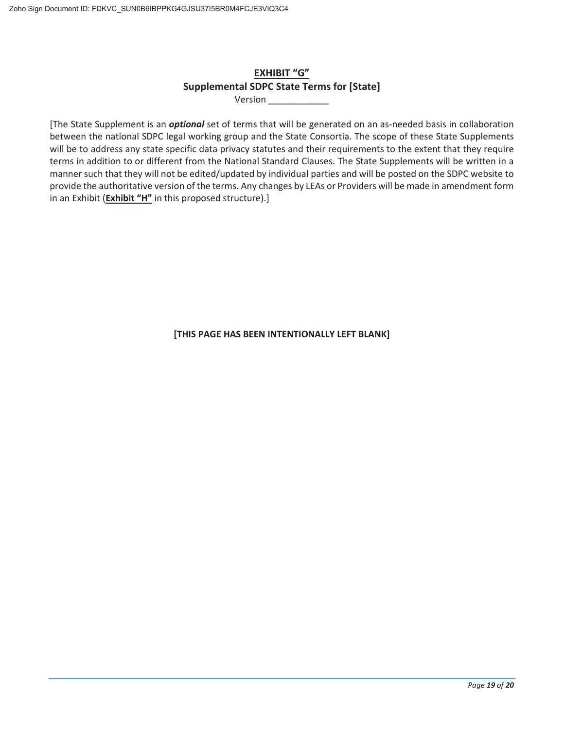# **EXHIBIT "G" Supplemental SDPC State Terms for [State]**

Version \_\_\_\_\_\_\_\_\_\_\_\_

[The State Supplement is an *optional* set of terms that will be generated on an as-needed basis in collaboration between the national SDPC legal working group and the State Consortia. The scope of these State Supplements will be to address any state specific data privacy statutes and their requirements to the extent that they require terms in addition to or different from the National Standard Clauses. The State Supplements will be written in a manner such that they will not be edited/updated by individual parties and will be posted on the SDPC website to provide the authoritative version of the terms. Any changes by LEAs or Providers will be made in amendment form in an Exhibit (**Exhibit "H"** in this proposed structure).]

**[THIS PAGE HAS BEEN INTENTIONALLY LEFT BLANK]**